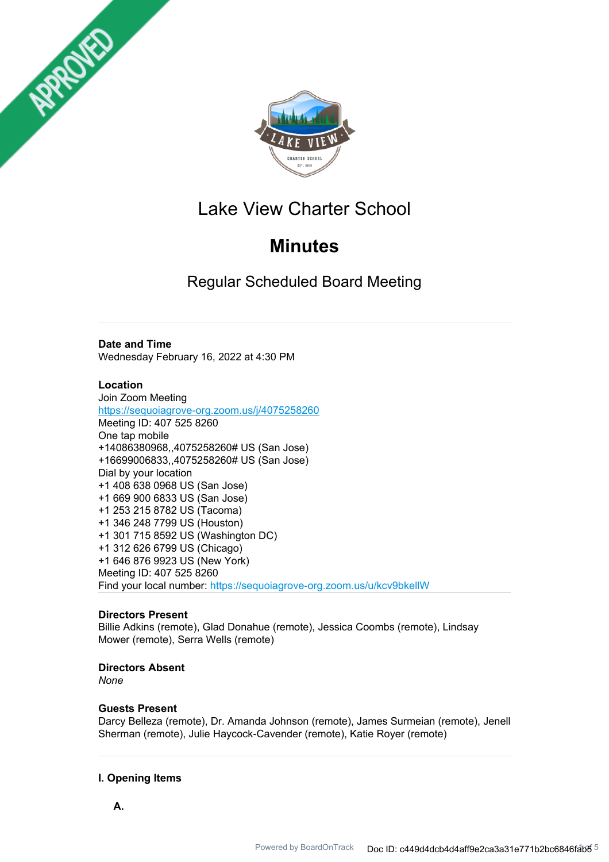



## Lake View Charter School

# **Minutes**

Regular Scheduled Board Meeting

## **Date and Time**

Wednesday February 16, 2022 at 4:30 PM

## **Location**

Join Zoom Meeting https://sequoiagrove-org.zoom.us/j/4075258260 Meeting ID: 407 525 8260 One tap mobile +14086380968,,4075258260# US (San Jose) +16699006833,,4075258260# US (San Jose) Dial by your location +1 408 638 0968 US (San Jose) +1 669 900 6833 US (San Jose) +1 253 215 8782 US (Tacoma) +1 346 248 7799 US (Houston) +1 301 715 8592 US (Washington DC) +1 312 626 6799 US (Chicago) +1 646 876 9923 US (New York) Meeting ID: 407 525 8260 Find your local number: https://sequoiagrove-org.zoom.us/u/kcv9bkellW

## **Directors Present**

Billie Adkins (remote), Glad Donahue (remote), Jessica Coombs (remote), Lindsay Mower (remote), Serra Wells (remote)

## **Directors Absent**

*None*

## **Guests Present**

Darcy Belleza (remote), Dr. Amanda Johnson (remote), James Surmeian (remote), Jenell Sherman (remote), Julie Haycock-Cavender (remote), Katie Royer (remote)

## **I. Opening Items**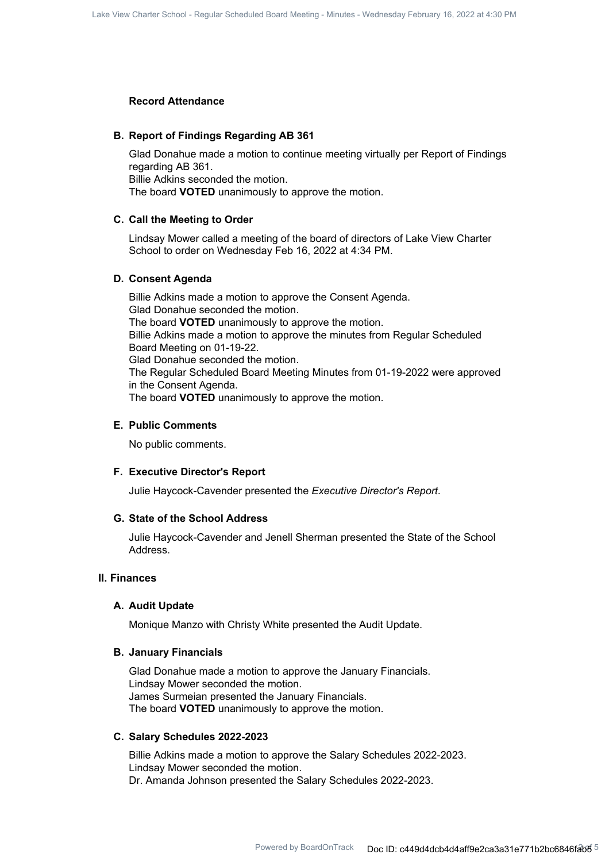#### **Record Attendance**

#### **B. Report of Findings Regarding AB 361**

Glad Donahue made a motion to continue meeting virtually per Report of Findings regarding AB 361. Billie Adkins seconded the motion. The board **VOTED** unanimously to approve the motion.

#### **C. Call the Meeting to Order**

Lindsay Mower called a meeting of the board of directors of Lake View Charter School to order on Wednesday Feb 16, 2022 at 4:34 PM.

#### **D. Consent Agenda**

Billie Adkins made a motion to approve the Consent Agenda. Glad Donahue seconded the motion. The board **VOTED** unanimously to approve the motion. Billie Adkins made a motion to approve the minutes from Regular Scheduled Board Meeting on 01-19-22. Glad Donahue seconded the motion. The Regular Scheduled Board Meeting Minutes from 01-19-2022 were approved in the Consent Agenda. The board **VOTED** unanimously to approve the motion.

#### **E. Public Comments**

No public comments.

#### **F. Executive Director's Report**

Julie Haycock-Cavender presented the *Executive Director's Report*.

## **G. State of the School Address**

Julie Haycock-Cavender and Jenell Sherman presented the State of the School Address.

### **II. Finances**

#### **A. Audit Update**

Monique Manzo with Christy White presented the Audit Update.

#### **B. January Financials**

Glad Donahue made a motion to approve the January Financials. Lindsay Mower seconded the motion. James Surmeian presented the January Financials. The board **VOTED** unanimously to approve the motion.

#### **C. Salary Schedules 2022-2023**

Billie Adkins made a motion to approve the Salary Schedules 2022-2023. Lindsay Mower seconded the motion. Dr. Amanda Johnson presented the Salary Schedules 2022-2023.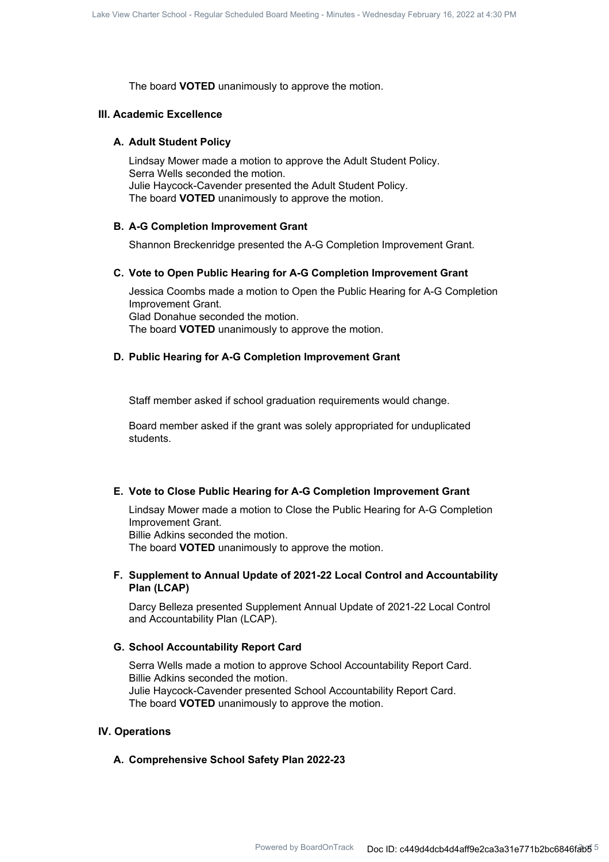The board **VOTED** unanimously to approve the motion.

#### **III. Academic Excellence**

#### **A. Adult Student Policy**

Lindsay Mower made a motion to approve the Adult Student Policy. Serra Wells seconded the motion. Julie Haycock-Cavender presented the Adult Student Policy. The board **VOTED** unanimously to approve the motion.

#### **B. A-G Completion Improvement Grant**

Shannon Breckenridge presented the A-G Completion Improvement Grant.

#### **C. Vote to Open Public Hearing for A-G Completion Improvement Grant**

Jessica Coombs made a motion to Open the Public Hearing for A-G Completion Improvement Grant. Glad Donahue seconded the motion. The board **VOTED** unanimously to approve the motion.

### **D. Public Hearing for A-G Completion Improvement Grant**

Staff member asked if school graduation requirements would change.

Board member asked if the grant was solely appropriated for unduplicated students.

#### **E. Vote to Close Public Hearing for A-G Completion Improvement Grant**

Lindsay Mower made a motion to Close the Public Hearing for A-G Completion Improvement Grant. Billie Adkins seconded the motion. The board **VOTED** unanimously to approve the motion.

## **Supplement to Annual Update of 2021-22 Local Control and Accountability F. Plan (LCAP)**

Darcy Belleza presented Supplement Annual Update of 2021-22 Local Control and Accountability Plan (LCAP).

#### **G. School Accountability Report Card**

Serra Wells made a motion to approve School Accountability Report Card. Billie Adkins seconded the motion. Julie Haycock-Cavender presented School Accountability Report Card. The board **VOTED** unanimously to approve the motion.

#### **IV. Operations**

#### **A. Comprehensive School Safety Plan 2022-23**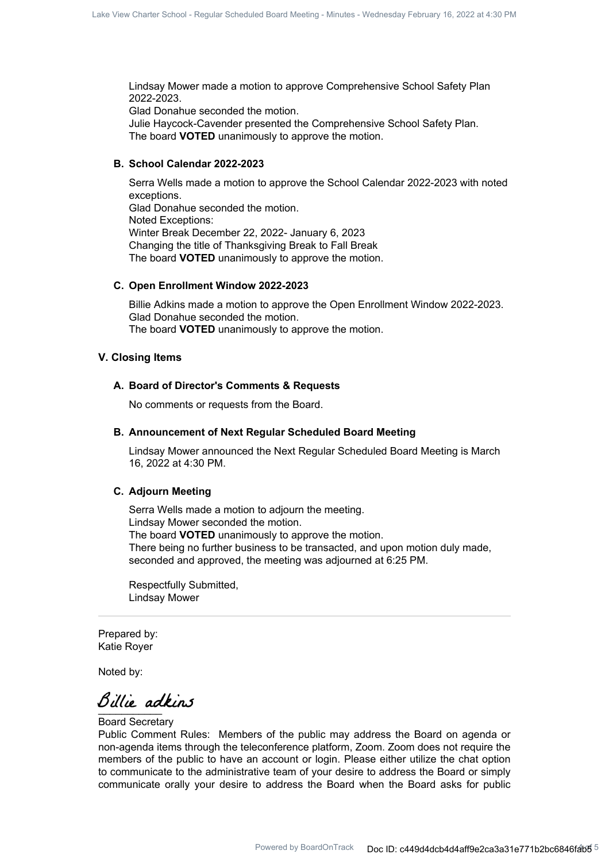Lindsay Mower made a motion to approve Comprehensive School Safety Plan 2022-2023.

Glad Donahue seconded the motion.

Julie Haycock-Cavender presented the Comprehensive School Safety Plan. The board **VOTED** unanimously to approve the motion.

### **B. School Calendar 2022-2023**

Serra Wells made a motion to approve the School Calendar 2022-2023 with noted exceptions. Glad Donahue seconded the motion. Noted Exceptions: Winter Break December 22, 2022- January 6, 2023 Changing the title of Thanksgiving Break to Fall Break The board **VOTED** unanimously to approve the motion.

### **C. Open Enrollment Window 2022-2023**

Billie Adkins made a motion to approve the Open Enrollment Window 2022-2023. Glad Donahue seconded the motion. The board **VOTED** unanimously to approve the motion.

#### **V. Closing Items**

#### **A. Board of Director's Comments & Requests**

No comments or requests from the Board.

#### **B. Announcement of Next Regular Scheduled Board Meeting**

Lindsay Mower announced the Next Regular Scheduled Board Meeting is March 16, 2022 at 4:30 PM.

#### **C. Adjourn Meeting**

Serra Wells made a motion to adjourn the meeting. Lindsay Mower seconded the motion. The board **VOTED** unanimously to approve the motion. There being no further business to be transacted, and upon motion duly made, seconded and approved, the meeting was adjourned at 6:25 PM.

Respectfully Submitted, Lindsay Mower

Prepared by: Katie Royer

Noted by:

Billie adkins

#### Board Secretary

Public Comment Rules: Members of the public may address the Board on agenda or non-agenda items through the teleconference platform, Zoom. Zoom does not require the members of the public to have an account or login. Please either utilize the chat option to communicate to the administrative team of your desire to address the Board or simply communicate orally your desire to address the Board when the Board asks for public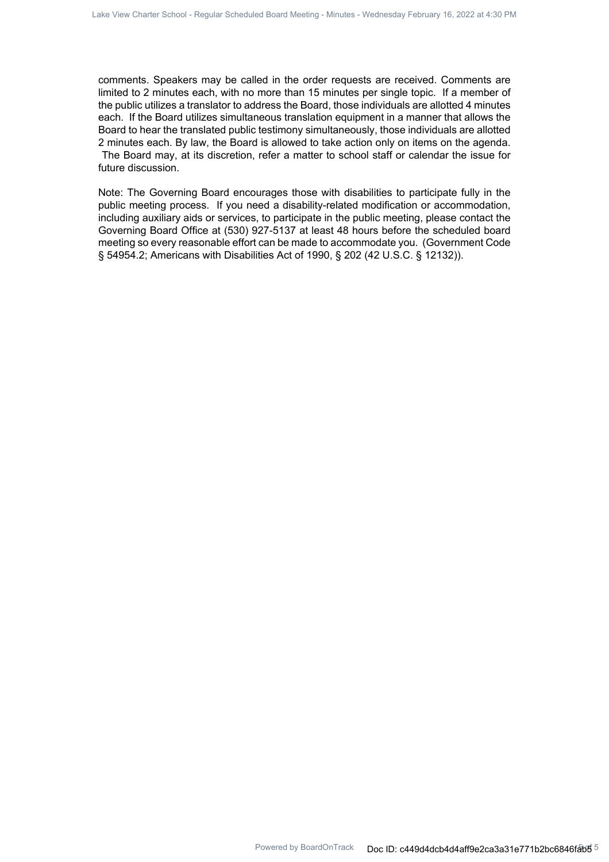comments. Speakers may be called in the order requests are received. Comments are limited to 2 minutes each, with no more than 15 minutes per single topic. If a member of the public utilizes a translator to address the Board, those individuals are allotted 4 minutes each. If the Board utilizes simultaneous translation equipment in a manner that allows the Board to hear the translated public testimony simultaneously, those individuals are allotted 2 minutes each. By law, the Board is allowed to take action only on items on the agenda. The Board may, at its discretion, refer a matter to school staff or calendar the issue for future discussion.

Note: The Governing Board encourages those with disabilities to participate fully in the public meeting process. If you need a disability-related modification or accommodation, including auxiliary aids or services, to participate in the public meeting, please contact the Governing Board Office at (530) 927-5137 at least 48 hours before the scheduled board meeting so every reasonable effort can be made to accommodate you. (Government Code § 54954.2; Americans with Disabilities Act of 1990, § 202 (42 U.S.C. § 12132)).